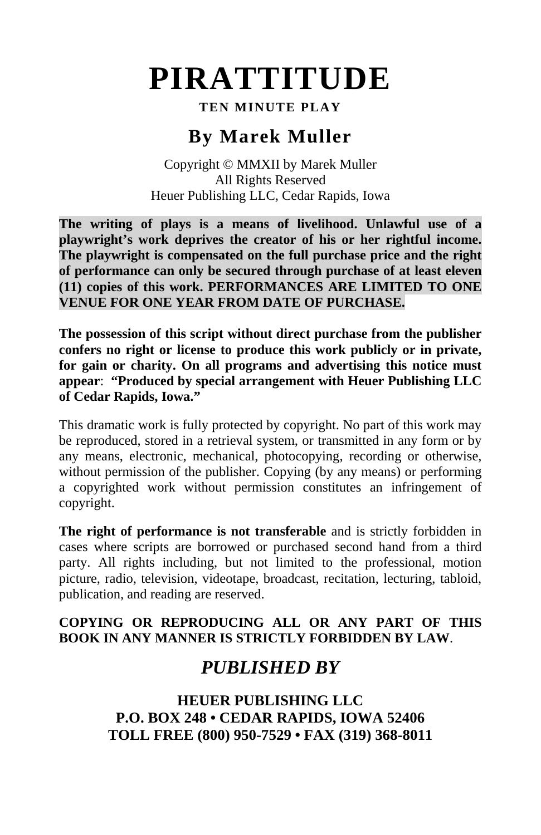## **PIRATTITUDE**

### **TEN MINUTE PLAY**

## **By Marek Muller**

Copyright © MMXII by Marek Muller All Rights Reserved Heuer Publishing LLC, Cedar Rapids, Iowa

**The writing of plays is a means of livelihood. Unlawful use of a playwright's work deprives the creator of his or her rightful income. The playwright is compensated on the full purchase price and the right of performance can only be secured through purchase of at least eleven (11) copies of this work. PERFORMANCES ARE LIMITED TO ONE VENUE FOR ONE YEAR FROM DATE OF PURCHASE.**

**The possession of this script without direct purchase from the publisher confers no right or license to produce this work publicly or in private, for gain or charity. On all programs and advertising this notice must appear**: **"Produced by special arrangement with Heuer Publishing LLC of Cedar Rapids, Iowa."**

This dramatic work is fully protected by copyright. No part of this work may be reproduced, stored in a retrieval system, or transmitted in any form or by any means, electronic, mechanical, photocopying, recording or otherwise, without permission of the publisher. Copying (by any means) or performing a copyrighted work without permission constitutes an infringement of copyright.

**The right of performance is not transferable** and is strictly forbidden in cases where scripts are borrowed or purchased second hand from a third party. All rights including, but not limited to the professional, motion picture, radio, television, videotape, broadcast, recitation, lecturing, tabloid, publication, and reading are reserved.

### **COPYING OR REPRODUCING ALL OR ANY PART OF THIS BOOK IN ANY MANNER IS STRICTLY FORBIDDEN BY LAW**.

## *PUBLISHED BY*

**HEUER PUBLISHING LLC P.O. BOX 248 • CEDAR RAPIDS, IOWA 52406 TOLL FREE (800) 950-7529 • FAX (319) 368-8011**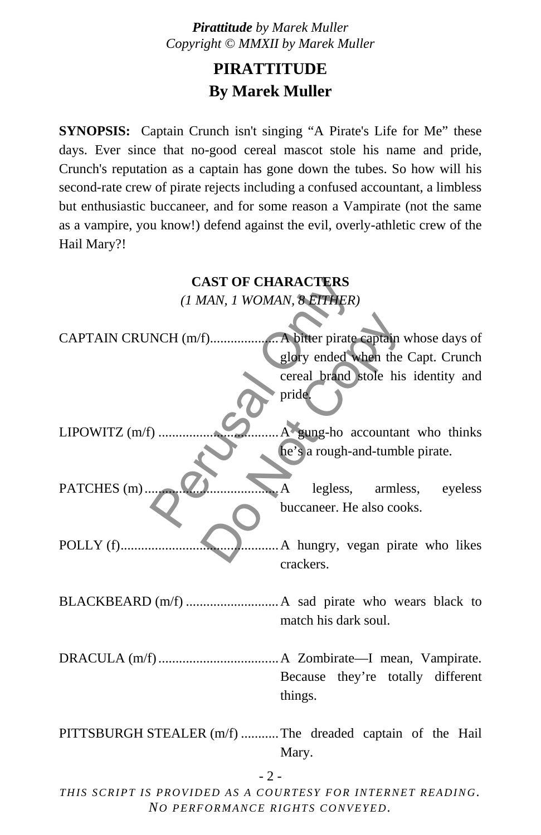## **PIRATTITUDE By Marek Muller**

**SYNOPSIS:** Captain Crunch isn't singing "A Pirate's Life for Me" these days. Ever since that no-good cereal mascot stole his name and pride, Crunch's reputation as a captain has gone down the tubes. So how will his second-rate crew of pirate rejects including a confused accountant, a limbless but enthusiastic buccaneer, and for some reason a Vampirate (not the same as a vampire, you know!) defend against the evil, overly-athletic crew of the Hail Mary?!

| <b>CAST OF CHARACTERS</b>                                |                                            |
|----------------------------------------------------------|--------------------------------------------|
| (1 MAN, 1 WOMAN, 8 ETTHER)                               |                                            |
|                                                          |                                            |
|                                                          |                                            |
|                                                          | glory ended when the Capt. Crunch          |
|                                                          | cereal brand stole his identity and        |
|                                                          | pride.                                     |
| LIPOWITZ $(m/f)$                                         | A gung-ho accountant who thinks            |
|                                                          | he's a rough-and-tumble pirate.            |
| PATCHES (m)                                              | legless, armless, eyeless<br>$\mathcal{A}$ |
|                                                          | buccaneer. He also cooks.                  |
| POLLY $(f)$                                              | A hungry, vegan pirate who likes           |
|                                                          | crackers.                                  |
|                                                          |                                            |
|                                                          |                                            |
|                                                          | match his dark soul.                       |
|                                                          |                                            |
|                                                          |                                            |
|                                                          | Because they're totally different          |
|                                                          | things.                                    |
|                                                          |                                            |
| PITTSBURGH STEALER (m/f) The dreaded captain of the Hail |                                            |
|                                                          | Mary.                                      |
| $-2-$                                                    |                                            |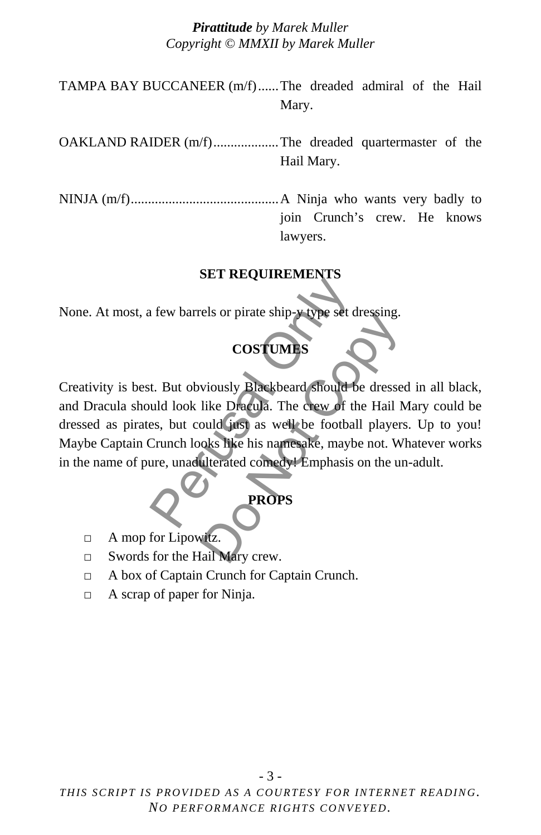TAMPA BAY BUCCANEER (m/f) ......The dreaded admiral of the Hail Mary.

OAKLAND RAIDER (m/f) ...................The dreaded quartermaster of the Hail Mary.

NINJA (m/f) ...........................................A Ninja who wants very badly to join Crunch's crew. He knows lawyers.

#### **SET REQUIREMENTS**

None. At most, a few barrels or pirate ship-y type set dressing.

### **COSTUMES**

Creativity is best. But obviously Blackbeard should be dressed in all black, and Dracula should look like Dracula. The crew of the Hail Mary could be dressed as pirates, but could just as well be football players. Up to you! Maybe Captain Crunch looks like his namesake, maybe not. Whatever works in the name of pure, unadulterated comedy! Emphasis on the un-adult. SET REQUIREMENTS<br>
I few barrels or pirate ship-y type set dre<br>
COSTUMES<br>
L. But obviously Blackbeard should be<br>
uld look like Dracula. The crew of the<br>
es, but could just as well be football<br>
Crunch looks like his namesake es of phate sinp-y type set dressing.<br>
COSTUMES<br>
viously Blackbeard should be dresse<br>
like Dracula. The crew of the Hail N<br>
puld just as well be football players<br>
oks like his namesake, maybe not. W<br>
diterated comedy! Emph

# **PROPS**

- □ A mop for Lipowitz.
- □ Swords for the Hail Mary crew.
- □ A box of Captain Crunch for Captain Crunch.
- □ A scrap of paper for Ninja.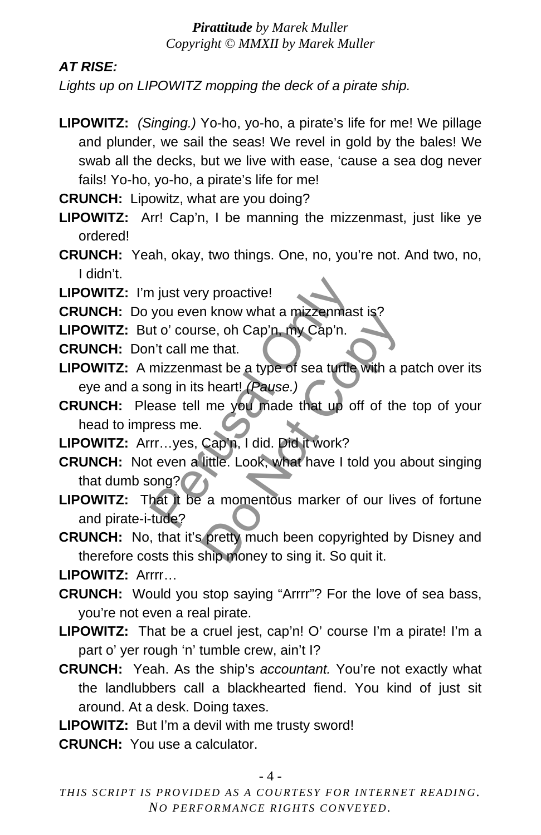### *AT RISE:*

*Lights up on LIPOWITZ mopping the deck of a pirate ship.*

**LIPOWITZ:** *(Singing.)* Yo-ho, yo-ho, a pirate's life for me! We pillage and plunder, we sail the seas! We revel in gold by the bales! We swab all the decks, but we live with ease, 'cause a sea dog never fails! Yo-ho, yo-ho, a pirate's life for me!

**CRUNCH:** Lipowitz, what are you doing?

- **LIPOWITZ:** Arr! Cap'n, I be manning the mizzenmast, just like ye ordered!
- **CRUNCH:** Yeah, okay, two things. One, no, you're not. And two, no, I didn't.
- **LIPOWITZ:** I'm just very proactive!

**CRUNCH:** Do you even know what a mizzenmast is?

**LIPOWITZ:** But o' course, oh Cap'n, my Cap'n.

- **CRUNCH:** Don't call me that.
- **LIPOWITZ:** A mizzenmast be a type of sea turtle with a patch over its eye and a song in its heart! *(Pause.)*
- **CRUNCH:** Please tell me you made that up off of the top of your head to impress me.
- **LIPOWITZ:** Arrr…yes, Cap'n, I did. Did it work?
- **CRUNCH:** Not even a little. Look, what have I told you about singing that dumb song?
- **LIPOWITZ:** That it be a momentous marker of our lives of fortune and pirate-i-tude? n just very proactive!<br>
you even know what a mizzenmast into' course, oh Cap'n, my Cap'n.<br>
n't call me that.<br>
mizzenmast be a type of sea turtle wong in its heart! (Pause.)<br>
ease tell me you made that up off<br>
ress me.<br>
rr. Throw what a thizzer<br>thas the set of Cap'n, my Cap'n.<br>
The that.<br>
heart! (Pause.)<br>
me you made that up off of the<br>
Cap'n, I did. Did it work?<br>
little. Look, what have I told you a<br>
a momentous marker of our live<br>
pretty mu
- **CRUNCH:** No, that it's pretty much been copyrighted by Disney and therefore costs this ship money to sing it. So quit it.

**LIPOWITZ:** Arrrr…

- **CRUNCH:** Would you stop saying "Arrrr"? For the love of sea bass, you're not even a real pirate.
- **LIPOWITZ:** That be a cruel jest, cap'n! O' course I'm a pirate! I'm a part o' yer rough 'n' tumble crew, ain't I?
- **CRUNCH:** Yeah. As the ship's *accountant.* You're not exactly what the landlubbers call a blackhearted fiend. You kind of just sit around. At a desk. Doing taxes.

**LIPOWITZ:** But I'm a devil with me trusty sword!

**CRUNCH:** You use a calculator.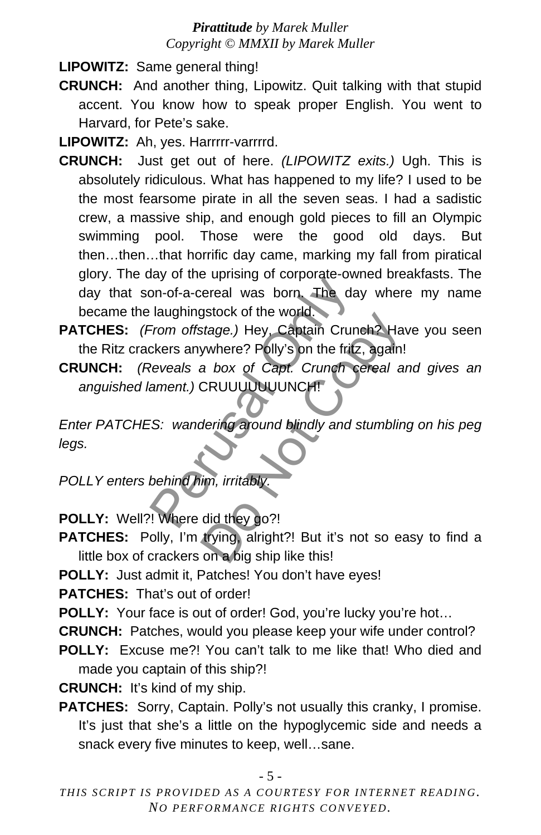**LIPOWITZ:** Same general thing!

**CRUNCH:** And another thing, Lipowitz. Quit talking with that stupid accent. You know how to speak proper English. You went to Harvard, for Pete's sake.

**LIPOWITZ:** Ah, yes. Harrrrr-varrrrd.

- **CRUNCH:** Just get out of here. *(LIPOWITZ exits.)* Ugh. This is absolutely ridiculous. What has happened to my life? I used to be the most fearsome pirate in all the seven seas. I had a sadistic crew, a massive ship, and enough gold pieces to fill an Olympic swimming pool. Those were the good old days. But then…then…that horrific day came, marking my fall from piratical glory. The day of the uprising of corporate-owned breakfasts. The day that son-of-a-cereal was born. The day where my name became the laughingstock of the world. Example 1 and the world.<br>
Som-of-a-cereal was born. The day<br>
laughingstock of the world.<br>
From offstage.) Hey, Captain Crunch<br>
ckers anywhere? Polly's on the fritz,<br>
Reveals a box of Capt. Crunch ce.<br>
ament.) CRUUUUUUUUNCH
- **PATCHES:** *(From offstage.)* Hey, Captain Crunch? Have you seen the Ritz crackers anywhere? Polly's on the fritz, again!
- **CRUNCH:** *(Reveals a box of Capt. Crunch cereal and gives an anguished lament.)* CRUUUUUUUNCH!

*Enter PATCHES: wandering around blindly and stumbling on his peg legs.*  Salock of the world.<br>
Stage.) Hey, Captain Crunch? Ha<br>
ywhere? Polly's on the fritz, again!<br>
a box of Capt. Crunch cereal a<br>
CRUUUUUUUUUUNCH!<br>
dering around blindly and stumblin<br>
dering around blindly and stumblin<br>
im, irr

*POLLY enters behind him, irritably.*

**POLLY:** Well?! Where did they go?!

**PATCHES:** Polly, I'm trying, alright?! But it's not so easy to find a little box of crackers on a big ship like this!

**POLLY:** Just admit it, Patches! You don't have eyes!

**PATCHES:** That's out of order!

**POLLY:** Your face is out of order! God, you're lucky you're hot...

- **CRUNCH:** Patches, would you please keep your wife under control?
- **POLLY:** Excuse me?! You can't talk to me like that! Who died and made you captain of this ship?!

**CRUNCH:** It's kind of my ship.

**PATCHES:** Sorry, Captain. Polly's not usually this cranky, I promise. It's just that she's a little on the hypoglycemic side and needs a snack every five minutes to keep, well…sane.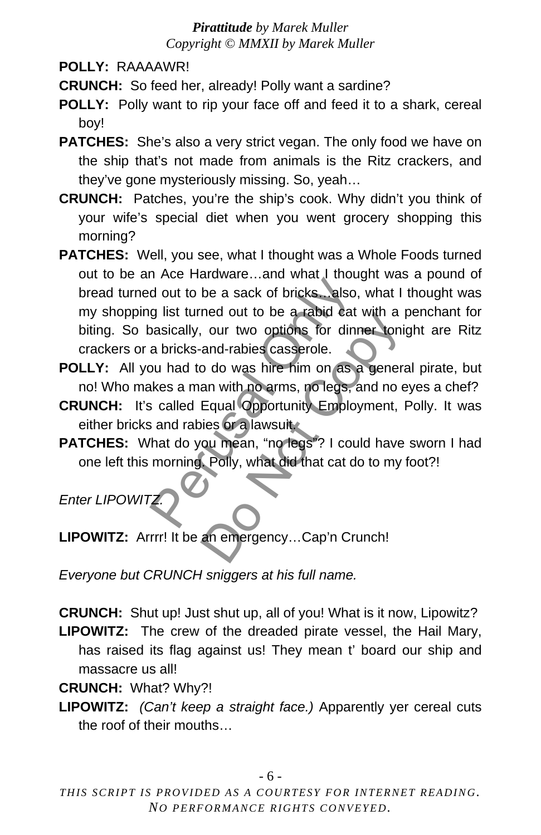**POLLY:** RAAAAWR!

**CRUNCH:** So feed her, already! Polly want a sardine?

- **POLLY:** Polly want to rip your face off and feed it to a shark, cereal boy!
- **PATCHES:** She's also a very strict vegan. The only food we have on the ship that's not made from animals is the Ritz crackers, and they've gone mysteriously missing. So, yeah…
- **CRUNCH:** Patches, you're the ship's cook. Why didn't you think of your wife's special diet when you went grocery shopping this morning?
- **PATCHES:** Well, you see, what I thought was a Whole Foods turned out to be an Ace Hardware…and what I thought was a pound of bread turned out to be a sack of bricks…also, what I thought was my shopping list turned out to be a rabid cat with a penchant for biting. So basically, our two options for dinner tonight are Ritz crackers or a bricks-and-rabies casserole. The Finance Countries and the analysis of dout to be a sack of bricks. Lalso, and the a rabid cat whas<br>inclusively, our two options for dinner a bricks-and-rabies casserole.<br>Du had to do was hire him on as a skes a man wit The bout to be a rabid cat with a<br>
our two options for dinner toni<br>
and-rabies casserole.<br>
bo do was hire-him on as a generary<br>
an with no arms, no legs, and no e<br>
Equal Opportunity Employment,<br>
ies or a lawsuit.<br>
ou mean,
- **POLLY:** All you had to do was hire him on as a general pirate, but no! Who makes a man with no arms, no legs, and no eyes a chef?
- **CRUNCH:** It's called Equal Opportunity Employment, Polly. It was either bricks and rabies or a lawsuit.
- **PATCHES:** What do you mean, "no legs"? I could have sworn I had one left this morning. Polly, what did that cat do to my foot?!

*Enter LIPOWITZ.*

**LIPOWITZ:** Arrrr! It be an emergency…Cap'n Crunch!

*Everyone but CRUNCH sniggers at his full name.*

**CRUNCH:** Shut up! Just shut up, all of you! What is it now, Lipowitz? **LIPOWITZ:** The crew of the dreaded pirate vessel, the Hail Mary, has raised its flag against us! They mean t' board our ship and massacre us all!

**CRUNCH:** What? Why?!

**LIPOWITZ:** *(Can't keep a straight face.)* Apparently yer cereal cuts the roof of their mouths…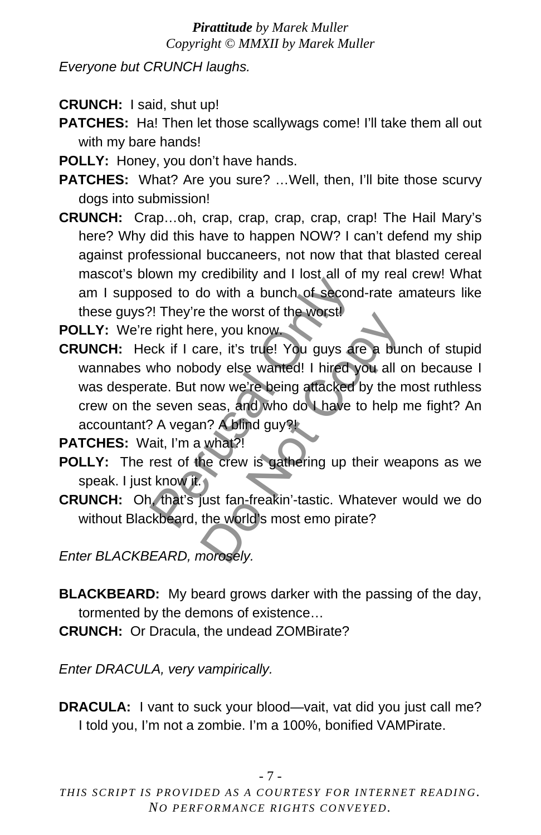*Everyone but CRUNCH laughs.*

- **CRUNCH:** I said, shut up!
- **PATCHES:** Ha! Then let those scallywags come! I'll take them all out with my bare hands!
- **POLLY:** Honey, you don't have hands.
- **PATCHES:** What? Are you sure? ... Well, then, I'll bite those scurvy dogs into submission!
- **CRUNCH:** Crap…oh, crap, crap, crap, crap, crap! The Hail Mary's here? Why did this have to happen NOW? I can't defend my ship against professional buccaneers, not now that that blasted cereal mascot's blown my credibility and I lost all of my real crew! What am I supposed to do with a bunch of second-rate amateurs like these guys?! They're the worst of the worst!
- **POLLY:** We're right here, you know.
- **CRUNCH:** Heck if I care, it's true! You guys are a bunch of stupid wannabes who nobody else wanted! I hired you all on because I was desperate. But now we're being attacked by the most ruthless crew on the seven seas, and who do I have to help me fight? An accountant? A vegan? A blind guy?! bown my creasing and 1 research of new sed to do with a bunch of second-<br>
Peright here, you know.<br>
Expectively refere the worst.<br>
Expectively reference in the worst.<br>
They're the worst of the worst.<br>
Expectively reference Fre, you know.<br>
Fre, you know.<br>
Fre, you know.<br>
Fre, you know.<br>
Fre, you know.<br>
Free worsted! I hired you all computed!<br>
I hired you all computed by the r<br>
Free seas, and who do I have to help in<br>
Free Seas, and who do I h

**PATCHES:** Wait, I'm a what?!

- **POLLY:** The rest of the crew is gathering up their weapons as we speak. I just know it.
- **CRUNCH:** Oh, that's just fan-freakin'-tastic. Whatever would we do without Blackbeard, the world's most emo pirate?

*Enter BLACKBEARD, morosely.*

- **BLACKBEARD:** My beard grows darker with the passing of the day, tormented by the demons of existence…
- **CRUNCH:** Or Dracula, the undead ZOMBirate?

*Enter DRACULA, very vampirically.*

**DRACULA:** I vant to suck your blood—vait, vat did you just call me? I told you, I'm not a zombie. I'm a 100%, bonified VAMPirate.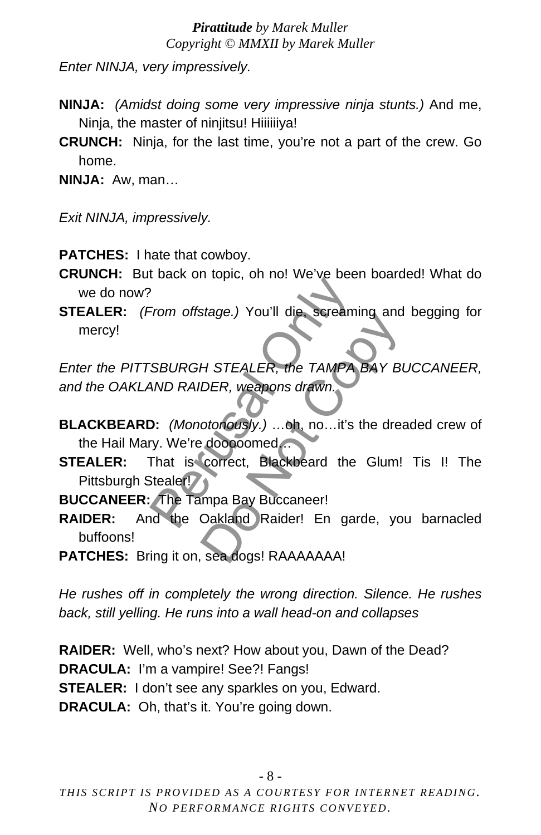*Enter NINJA, very impressively.*

- **NINJA:** *(Amidst doing some very impressive ninja stunts.)* And me, Ninja, the master of ninjitsu! Hiiiiiiya!
- **CRUNCH:** Ninja, for the last time, you're not a part of the crew. Go home.

**NINJA:** Aw, man…

*Exit NINJA, impressively.*

**PATCHES:** I hate that cowboy.

- **CRUNCH:** But back on topic, oh no! We've been boarded! What do we do now?
- **STEALER:** *(From offstage.)* You'll die, screaming and begging for mercy!

*Enter the PITTSBURGH STEALER, the TAMPA BAY BUCCANEER, and the OAKLAND RAIDER, weapons drawn.*  From offstage.) You'll die, screamin<br>Perusal Only in the TAMPA<br>BAND RAIDER, weapons drawn.<br>D: (Monotonously.) ...oh, no...it's the<br>V. We're dooooomed...<br>That is correct, Blackbeard the (Stealer!)<br>The Tampa Bay Buccaneer!<br>I MA STEALER, the TAMPA BAY BUCK, weapons drawn.<br>
Otonously.) ...oh, no...it's the dreamed<br>
correct, Blackbeard the Glum!<br>
mpa Bay Buccaneer!<br>
Oakland Raider! En garde, your sea dogs! RAAAAAAA!

- **BLACKBEARD:** *(Monotonously.)* …oh, no…it's the dreaded crew of the Hail Mary. We're dooooomed…
- **STEALER:** That is correct, Blackbeard the Glum! Tis I! The Pittsburgh Stealer!
- **BUCCANEER:** The Tampa Bay Buccaneer!
- **RAIDER:** And the Oakland Raider! En garde, you barnacled buffoons!
- **PATCHES:** Bring it on, sea dogs! RAAAAAAA!

*He rushes off in completely the wrong direction. Silence. He rushes back, still yelling. He runs into a wall head-on and collapses*

**RAIDER:** Well, who's next? How about you, Dawn of the Dead? **DRACULA:** I'm a vampire! See?! Fangs! **STEALER:** I don't see any sparkles on you, Edward. **DRACULA:** Oh, that's it. You're going down.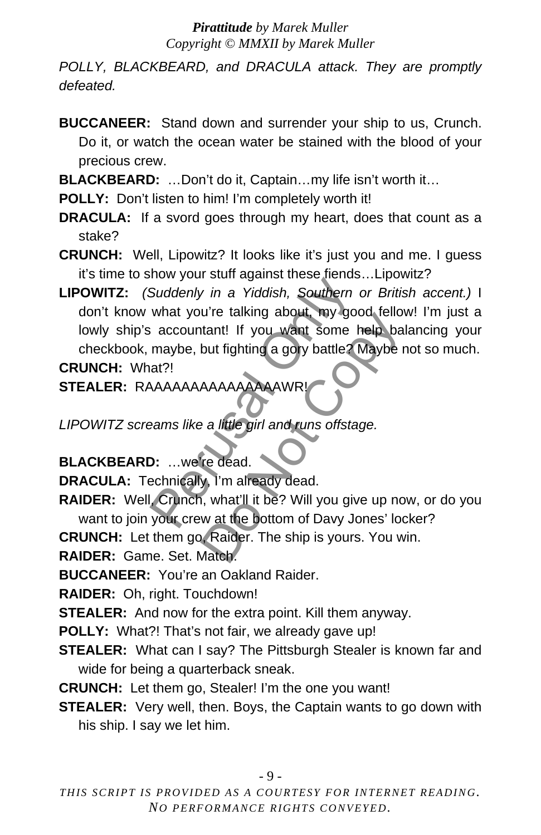*POLLY, BLACKBEARD, and DRACULA attack. They are promptly defeated.*

**BUCCANEER:** Stand down and surrender your ship to us, Crunch. Do it, or watch the ocean water be stained with the blood of your precious crew.

**BLACKBEARD:** …Don't do it, Captain…my life isn't worth it…

**POLLY:** Don't listen to him! I'm completely worth it!

**DRACULA:** If a svord goes through my heart, does that count as a stake?

**CRUNCH:** Well, Lipowitz? It looks like it's just you and me. I guess it's time to show your stuff against these fiends…Lipowitz?

**LIPOWITZ:** *(Suddenly in a Yiddish, Southern or British accent.)* I don't know what you're talking about, my good fellow! I'm just a lowly ship's accountant! If you want some help balancing your checkbook, maybe, but fighting a gory battle? Maybe not so much. **CRUNCH:** What?! Suddenly in a Yiddish, Southern of<br>Suddenly in a Yiddish, Southern of<br>what you're talking about, my good<br>accountant! If you want some he<br>maybe, but fighting a gory battle? M<br>at?!<br>AAAAAAAAAAAAAAAAAWR!<br>eams like a little gir The tail of a got to the control of the tail of the solution of the baby to the baby the solution of the phase of the girl and runs offstage.<br>The dead.<br>The dead.<br>Solution of the party of the baby the dead.<br>The dead.<br>The so

**STEALER:** RAAAAAAAAAAAAAAAWR!

*LIPOWITZ screams like a little girl and runs offstage.*

**BLACKBEARD:** …we're dead.

**DRACULA:** Technically, I'm already dead.

**RAIDER:** Well, Crunch, what'll it be? Will you give up now, or do you want to join your crew at the bottom of Davy Jones' locker?

**CRUNCH:** Let them go, Raider. The ship is yours. You win.

**RAIDER:** Game. Set. Match.

**BUCCANEER:** You're an Oakland Raider.

**RAIDER:** Oh, right. Touchdown!

**STEALER:** And now for the extra point. Kill them anyway.

**POLLY:** What?! That's not fair, we already gave up!

**STEALER:** What can I say? The Pittsburgh Stealer is known far and wide for being a quarterback sneak.

**CRUNCH:** Let them go, Stealer! I'm the one you want!

**STEALER:** Very well, then. Boys, the Captain wants to go down with his ship. I say we let him.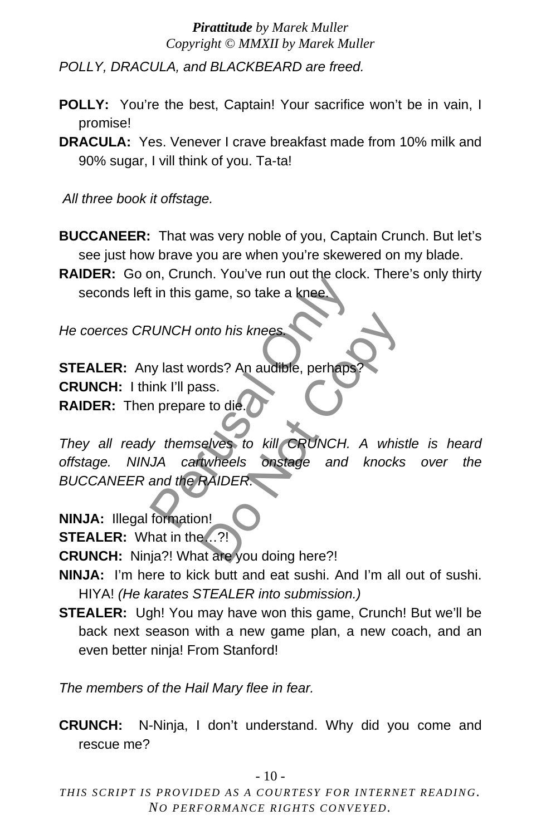*POLLY, DRACULA, and BLACKBEARD are freed.*

- **POLLY:** You're the best, Captain! Your sacrifice won't be in vain, I promise!
- **DRACULA:** Yes. Venever I crave breakfast made from 10% milk and 90% sugar, I vill think of you. Ta-ta!

*All three book it offstage.*

**BUCCANEER:** That was very noble of you, Captain Crunch. But let's see just how brave you are when you're skewered on my blade.

**RAIDER:** Go on, Crunch. You've run out the clock. There's only thirty seconds left in this game, so take a knee

*He coerces CRUNCH onto his knees.*

**STEALER:** Any last words? An audible, perhaps **CRUNCH:** I think I'll pass. **RAIDER:** Then prepare to die.

*They all ready themselves to kill CRUNCH. A whistle is heard offstage. NINJA cartwheels onstage and knocks over the BUCCANEER and the RAIDER.*  Person, Science Line and the Science<br>
WINCH onto his knees<br>
WINCH onto his knees<br>
We last words? An audible, perhaps?<br>
Ink I'll pass.<br>
The person of the person of the CRUNCH. A<br>
MA cartwheels on stage and k<br>
and the RAIDER mto his knees<br>
brds? An audible, perhaps?<br>
uss.<br>
elves to kill GRUNCH. A whis<br>
twheels onstage and knocks<br>
RAIDER.<br>
n!<br>
...?!<br>
at are you doing here?!

**NINJA:** Illegal formation!

**STEALER:** What in the…?!

**CRUNCH:** Ninja?! What are you doing here?!

- **NINJA:** I'm here to kick butt and eat sushi. And I'm all out of sushi. HIYA! *(He karates STEALER into submission.)*
- **STEALER:** Ugh! You may have won this game, Crunch! But we'll be back next season with a new game plan, a new coach, and an even better ninja! From Stanford!

*The members of the Hail Mary flee in fear.*

**CRUNCH:** N-Ninja, I don't understand. Why did you come and rescue me?

 $-10-$